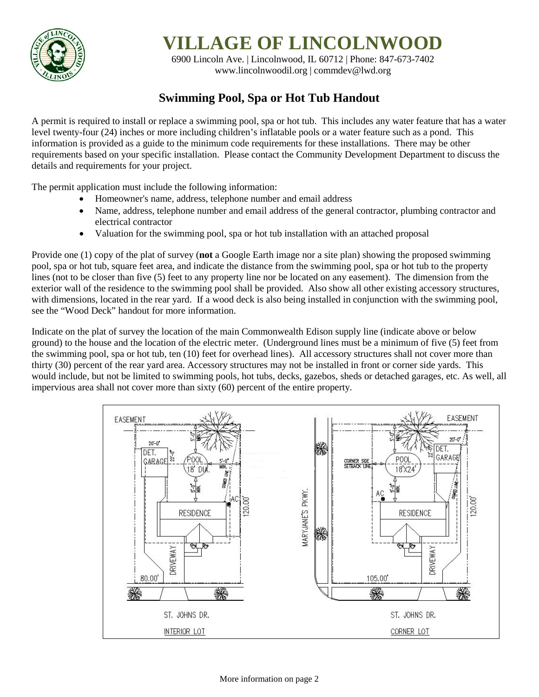

**VILLAGE OF LINCOLNWOOD**

6900 Lincoln Ave. | Lincolnwood, IL 60712 | Phone: 847-673-7402 [www.lincolnwoodil.org](http://www.lincolnwoodil.org/) | commdev@lwd.org

## **Swimming Pool, Spa or Hot Tub Handout**

A permit is required to install or replace a swimming pool, spa or hot tub. This includes any water feature that has a water level twenty-four (24) inches or more including children's inflatable pools or a water feature such as a pond. This information is provided as a guide to the minimum code requirements for these installations. There may be other requirements based on your specific installation. Please contact the Community Development Department to discuss the details and requirements for your project.

The permit application must include the following information:

- Homeowner's name, address, telephone number and email address
- Name, address, telephone number and email address of the general contractor, plumbing contractor and electrical contractor
- Valuation for the swimming pool, spa or hot tub installation with an attached proposal

Provide one (1) copy of the plat of survey (**not** a Google Earth image nor a site plan) showing the proposed swimming pool, spa or hot tub, square feet area, and indicate the distance from the swimming pool, spa or hot tub to the property lines (not to be closer than five (5) feet to any property line nor be located on any easement). The dimension from the exterior wall of the residence to the swimming pool shall be provided. Also show all other existing accessory structures, with dimensions, located in the rear yard. If a wood deck is also being installed in conjunction with the swimming pool, see the "Wood Deck" handout for more information.

Indicate on the plat of survey the location of the main Commonwealth Edison supply line (indicate above or below ground) to the house and the location of the electric meter. (Underground lines must be a minimum of five (5) feet from the swimming pool, spa or hot tub, ten (10) feet for overhead lines). All accessory structures shall not cover more than thirty (30) percent of the rear yard area. Accessory structures may not be installed in front or corner side yards. This would include, but not be limited to swimming pools, hot tubs, decks, gazebos, sheds or detached garages, etc. As well, all impervious area shall not cover more than sixty (60) percent of the entire property.